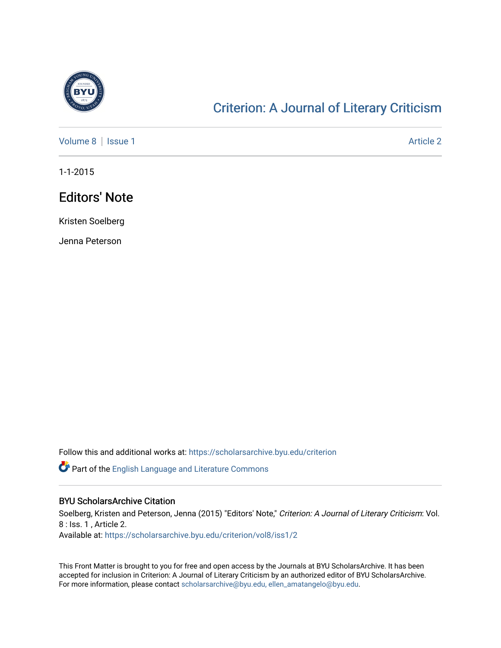

## [Criterion: A Journal of Literary Criticism](https://scholarsarchive.byu.edu/criterion)

[Volume 8](https://scholarsarchive.byu.edu/criterion/vol8) | [Issue 1](https://scholarsarchive.byu.edu/criterion/vol8/iss1) Article 2

1-1-2015

## Editors' Note

Kristen Soelberg

Jenna Peterson

Follow this and additional works at: [https://scholarsarchive.byu.edu/criterion](https://scholarsarchive.byu.edu/criterion?utm_source=scholarsarchive.byu.edu%2Fcriterion%2Fvol8%2Fiss1%2F2&utm_medium=PDF&utm_campaign=PDFCoverPages) 

Part of the [English Language and Literature Commons](http://network.bepress.com/hgg/discipline/455?utm_source=scholarsarchive.byu.edu%2Fcriterion%2Fvol8%2Fiss1%2F2&utm_medium=PDF&utm_campaign=PDFCoverPages)

## BYU ScholarsArchive Citation

Soelberg, Kristen and Peterson, Jenna (2015) "Editors' Note," Criterion: A Journal of Literary Criticism: Vol. 8 : Iss. 1 , Article 2. Available at: [https://scholarsarchive.byu.edu/criterion/vol8/iss1/2](https://scholarsarchive.byu.edu/criterion/vol8/iss1/2?utm_source=scholarsarchive.byu.edu%2Fcriterion%2Fvol8%2Fiss1%2F2&utm_medium=PDF&utm_campaign=PDFCoverPages) 

This Front Matter is brought to you for free and open access by the Journals at BYU ScholarsArchive. It has been accepted for inclusion in Criterion: A Journal of Literary Criticism by an authorized editor of BYU ScholarsArchive. For more information, please contact [scholarsarchive@byu.edu, ellen\\_amatangelo@byu.edu](mailto:scholarsarchive@byu.edu,%20ellen_amatangelo@byu.edu).